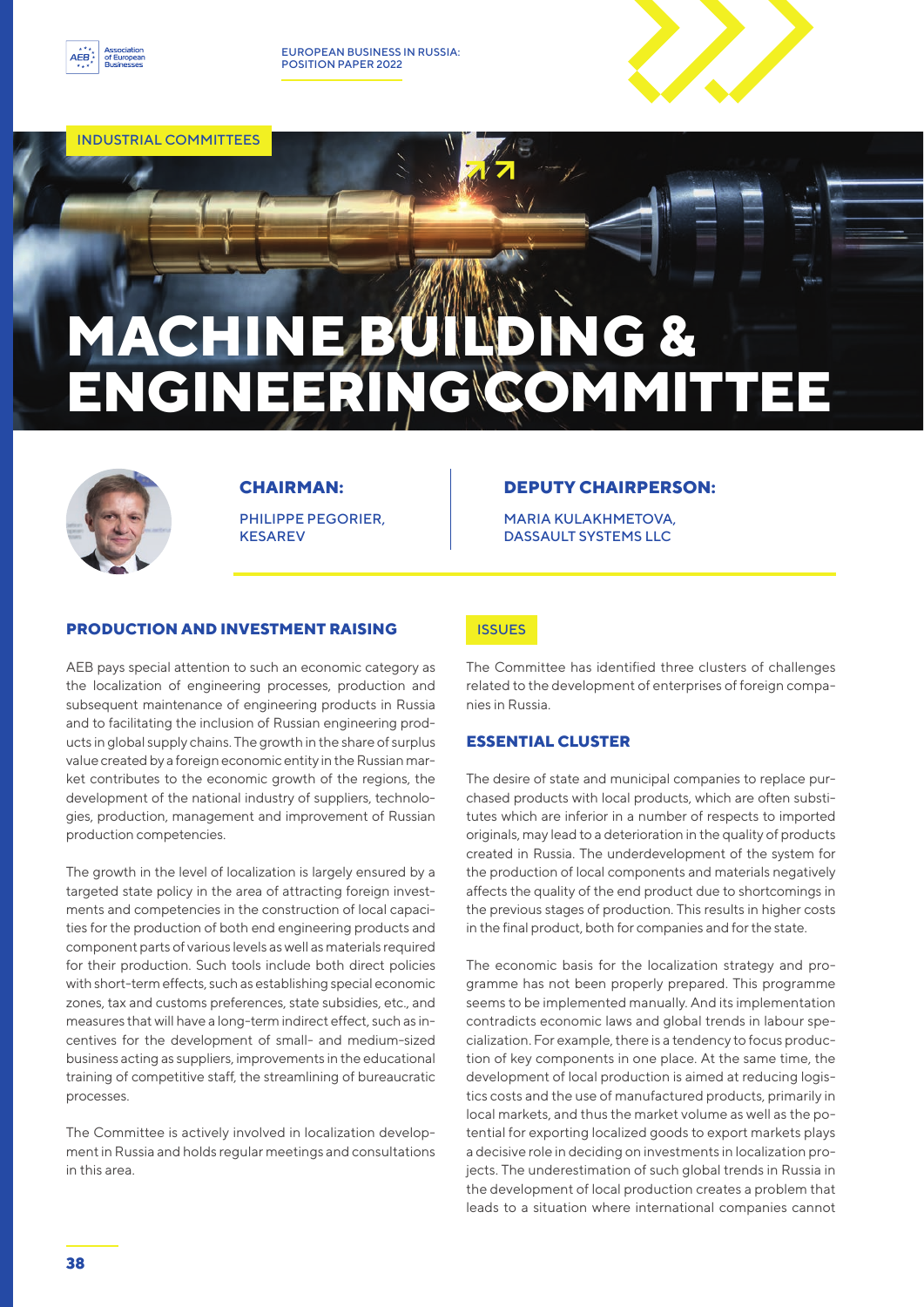

EUROPEAN BUSINESS IN RUSSIA: POSITION PAPER 2022

INDUSTRIAL COMMITTEES

# **MACHINE BUILDING & ENGINEERING COMMITTEE**



# **CHAIRMAN:**

PHILIPPE PEGORIER, **KESAREV** 

# **DEPUTY CHAIRPERSON:**

MARIA KULAKHMETOVA, DASSAULT SYSTEMS LLC

## **PRODUCTION AND INVESTMENT RAISING**

AEB pays special attention to such an economic category as the localization of engineering processes, production and subsequent maintenance of engineering products in Russia and to facilitating the inclusion of Russian engineering products in global supply chains. The growth in the share of surplus value created by a foreign economic entity in the Russian market contributes to the economic growth of the regions, the development of the national industry of suppliers, technologies, production, management and improvement of Russian production competencies.

The growth in the level of localization is largely ensured by a targeted state policy in the area of attracting foreign investments and competencies in the construction of local capacities for the production of both end engineering products and component parts of various levels as well as materials required for their production. Such tools include both direct policies with short-term effects, such as establishing special economic zones, tax and customs preferences, state subsidies, etc., and measures that will have a long-term indirect effect, such as incentives for the development of small- and medium-sized business acting as suppliers, improvements in the educational training of competitive staff, the streamlining of bureaucratic processes.

The Committee is actively involved in localization development in Russia and holds regular meetings and consultations in this area.

## **ISSUES**

The Committee has identified three clusters of challenges related to the development of enterprises of foreign companies in Russia.

## **ESSENTIAL CLUSTER**

The desire of state and municipal companies to replace purchased products with local products, which are often substitutes which are inferior in a number of respects to imported originals, may lead to a deterioration in the quality of products created in Russia. The underdevelopment of the system for the production of local components and materials negatively affects the quality of the end product due to shortcomings in the previous stages of production. This results in higher costs in the final product, both for companies and for the state.

The economic basis for the localization strategy and programme has not been properly prepared. This programme seems to be implemented manually. And its implementation contradicts economic laws and global trends in labour specialization. For example, there is a tendency to focus production of key components in one place. At the same time, the development of local production is aimed at reducing logistics costs and the use of manufactured products, primarily in local markets, and thus the market volume as well as the potential for exporting localized goods to export markets plays a decisive role in deciding on investments in localization projects. The underestimation of such global trends in Russia in the development of local production creates a problem that leads to a situation where international companies cannot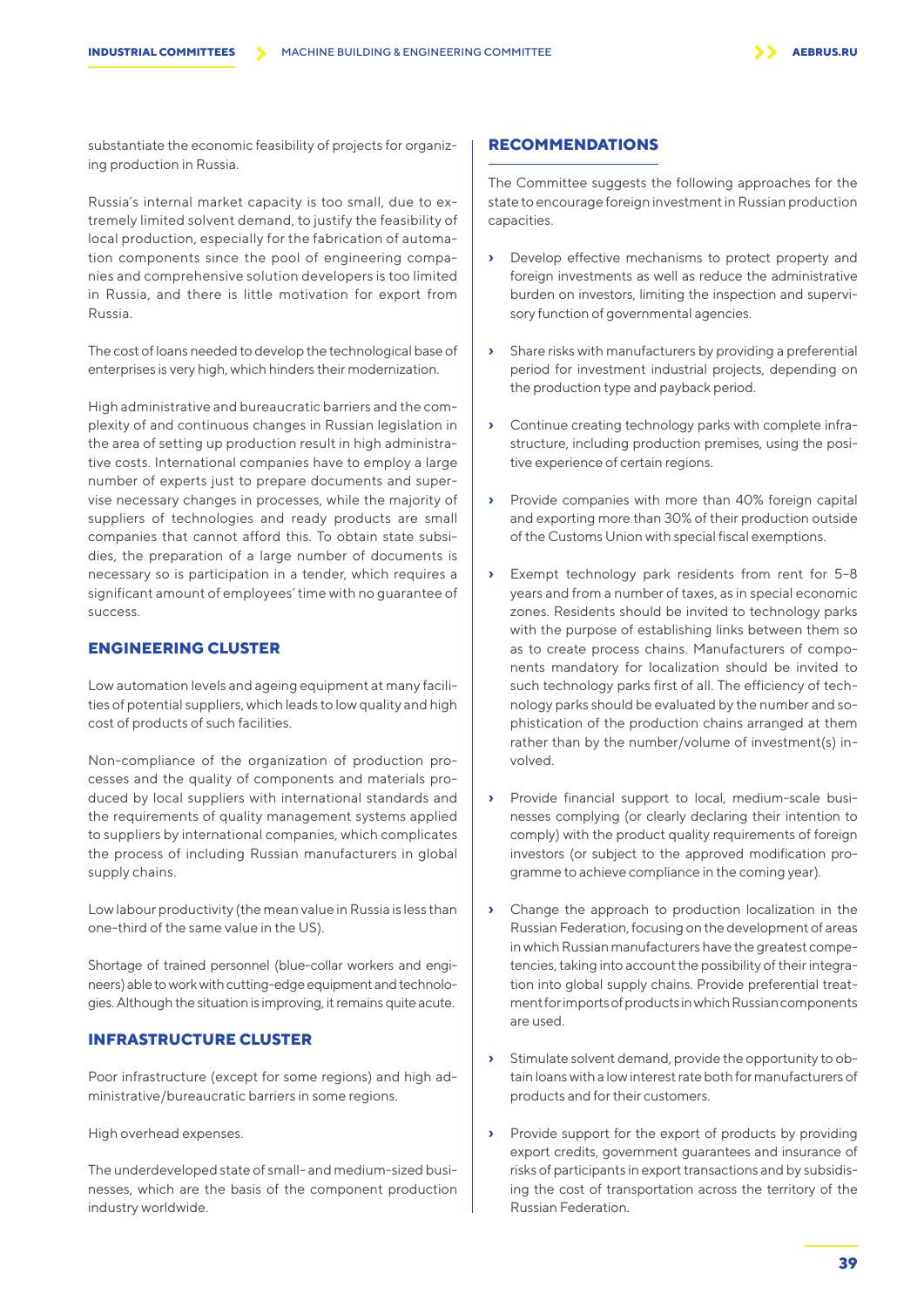substantiate the economic feasibility of projects for organizing production in Russia.

Russia's internal market capacity is too small, due to extremely limited solvent demand, to justify the feasibility of local production, especially for the fabrication of automation components since the pool of engineering companies and comprehensive solution developers is too limited in Russia, and there is little motivation for export from Russia.

The cost of loans needed to develop the technological base of enterprises is very high, which hinders their modernization.

High administrative and bureaucratic barriers and the complexity of and continuous changes in Russian legislation in the area of setting up production result in high administrative costs. International companies have to employ a large number of experts just to prepare documents and supervise necessary changes in processes, while the majority of suppliers of technologies and ready products are small companies that cannot afford this. To obtain state subsidies, the preparation of a large number of documents is necessary so is participation in a tender, which requires a significant amount of employees' time with no guarantee of success.

#### **ENGINEERING CLUSTER**

Low automation levels and ageing equipment at many facilities of potential suppliers, which leads to low quality and high cost of products of such facilities.

Non-compliance of the organization of production processes and the quality of components and materials produced by local suppliers with international standards and the requirements of quality management systems applied to suppliers by international companies, which complicates the process of including Russian manufacturers in global supply chains.

Low labour productivity (the mean value in Russia is less than one-third of the same value in the US).

Shortage of trained personnel (blue-collar workers and engineers) able to work with cutting-edge equipment and technologies. Although the situation is improving, it remains quite acute.

#### **INFRASTRUCTURE CLUSTER**

Poor infrastructure (except for some regions) and high administrative/bureaucratic barriers in some regions.

High overhead expenses.

The underdeveloped state of small- and medium-sized businesses, which are the basis of the component production industry worldwide.

# **RECOMMENDATIONS**

The Committee suggests the following approaches for the state to encourage foreign investment in Russian production capacities.

- **›** Develop effective mechanisms to protect property and foreign investments as well as reduce the administrative burden on investors, limiting the inspection and supervisory function of governmental agencies.
- **›** Share risks with manufacturers by providing a preferential period for investment industrial projects, depending on the production type and payback period.
- **›** Continue creating technology parks with complete infrastructure, including production premises, using the positive experience of certain regions.
- **›** Provide companies with more than 40% foreign capital and exporting more than 30% of their production outside of the Customs Union with special fiscal exemptions.
- Exempt technology park residents from rent for 5-8 years and from a number of taxes, as in special economic zones. Residents should be invited to technology parks with the purpose of establishing links between them so as to create process chains. Manufacturers of components mandatory for localization should be invited to such technology parks first of all. The efficiency of technology parks should be evaluated by the number and sophistication of the production chains arranged at them rather than by the number/volume of investment(s) involved.
- **›** Provide financial support to local, medium-scale businesses complying (or clearly declaring their intention to comply) with the product quality requirements of foreign investors (or subject to the approved modification programme to achieve compliance in the coming year).
- **›** Change the approach to production localization in the Russian Federation, focusing on the development of areas in which Russian manufacturers have the greatest competencies, taking into account the possibility of their integration into global supply chains. Provide preferential treatment for imports of products in which Russian components are used.
- **›** Stimulate solvent demand, provide the opportunity to obtain loans with a low interest rate both for manufacturers of products and for their customers.
- **›** Provide support for the export of products by providing export credits, government guarantees and insurance of risks of participants in export transactions and by subsidising the cost of transportation across the territory of the Russian Federation.